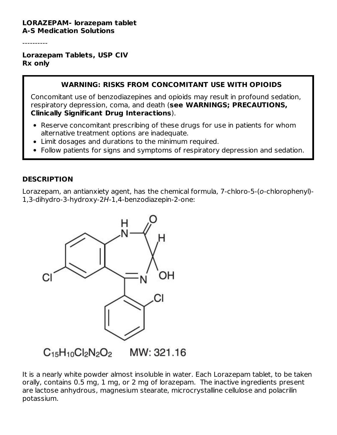#### **LORAZEPAM- lorazepam tablet A-S Medication Solutions**

----------

#### **Lorazepam Tablets, USP CIV Rx only**

#### **WARNING: RISKS FROM CONCOMITANT USE WITH OPIOIDS**

Concomitant use of benzodiazepines and opioids may result in profound sedation, respiratory depression, coma, and death (**see WARNINGS; PRECAUTIONS, Clinically Significant Drug Interactions**).

- Reserve concomitant prescribing of these drugs for use in patients for whom alternative treatment options are inadequate.
- Limit dosages and durations to the minimum required.
- Follow patients for signs and symptoms of respiratory depression and sedation.

#### **DESCRIPTION**

Lorazepam, an antianxiety agent, has the chemical formula, 7-chloro-5-(o-chlorophenyl)- 1,3-dihydro-3-hydroxy-2H-1,4-benzodiazepin-2-one:



It is a nearly white powder almost insoluble in water. Each Lorazepam tablet, to be taken orally, contains 0.5 mg, 1 mg, or 2 mg of lorazepam. The inactive ingredients present are lactose anhydrous, magnesium stearate, microcrystalline cellulose and polacrilin potassium.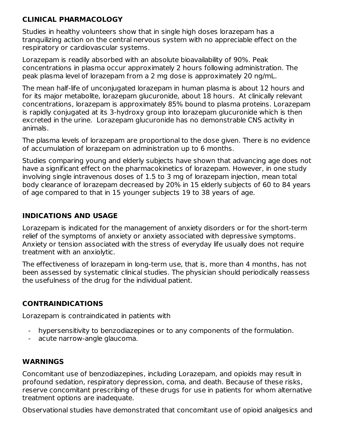## **CLINICAL PHARMACOLOGY**

Studies in healthy volunteers show that in single high doses lorazepam has a tranquilizing action on the central nervous system with no appreciable effect on the respiratory or cardiovascular systems.

Lorazepam is readily absorbed with an absolute bioavailability of 90%. Peak concentrations in plasma occur approximately 2 hours following administration. The peak plasma level of lorazepam from a 2 mg dose is approximately 20 ng/mL.

The mean half-life of unconjugated lorazepam in human plasma is about 12 hours and for its major metabolite, lorazepam glucuronide, about 18 hours. At clinically relevant concentrations, lorazepam is approximately 85% bound to plasma proteins. Lorazepam is rapidly conjugated at its 3-hydroxy group into lorazepam glucuronide which is then excreted in the urine. Lorazepam glucuronide has no demonstrable CNS activity in animals.

The plasma levels of lorazepam are proportional to the dose given. There is no evidence of accumulation of lorazepam on administration up to 6 months.

Studies comparing young and elderly subjects have shown that advancing age does not have a significant effect on the pharmacokinetics of lorazepam. However, in one study involving single intravenous doses of 1.5 to 3 mg of lorazepam injection, mean total body clearance of lorazepam decreased by 20% in 15 elderly subjects of 60 to 84 years of age compared to that in 15 younger subjects 19 to 38 years of age.

### **INDICATIONS AND USAGE**

Lorazepam is indicated for the management of anxiety disorders or for the short-term relief of the symptoms of anxiety or anxiety associated with depressive symptoms. Anxiety or tension associated with the stress of everyday life usually does not require treatment with an anxiolytic.

The effectiveness of lorazepam in long-term use, that is, more than 4 months, has not been assessed by systematic clinical studies. The physician should periodically reassess the usefulness of the drug for the individual patient.

# **CONTRAINDICATIONS**

Lorazepam is contraindicated in patients with

- hypersensitivity to benzodiazepines or to any components of the formulation.
- acute narrow-angle glaucoma.

# **WARNINGS**

Concomitant use of benzodiazepines, including Lorazepam, and opioids may result in profound sedation, respiratory depression, coma, and death. Because of these risks, reserve concomitant prescribing of these drugs for use in patients for whom alternative treatment options are inadequate.

Observational studies have demonstrated that concomitant use of opioid analgesics and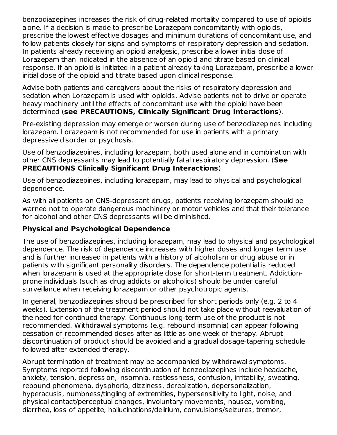benzodiazepines increases the risk of drug-related mortality compared to use of opioids alone. If a decision is made to prescribe Lorazepam concomitantly with opioids, prescribe the lowest effective dosages and minimum durations of concomitant use, and follow patients closely for signs and symptoms of respiratory depression and sedation. In patients already receiving an opioid analgesic, prescribe a lower initial dose of Lorazepam than indicated in the absence of an opioid and titrate based on clinical response. If an opioid is initiated in a patient already taking Lorazepam, prescribe a lower initial dose of the opioid and titrate based upon clinical response.

Advise both patients and caregivers about the risks of respiratory depression and sedation when Lorazepam is used with opioids. Advise patients not to drive or operate heavy machinery until the effects of concomitant use with the opioid have been determined (**see PRECAUTIONS, Clinically Significant Drug Interactions**).

Pre-existing depression may emerge or worsen during use of benzodiazepines including lorazepam. Lorazepam is not recommended for use in patients with a primary depressive disorder or psychosis.

Use of benzodiazepines, including lorazepam, both used alone and in combination with other CNS depressants may lead to potentially fatal respiratory depression. (**See PRECAUTIONS Clinically Significant Drug Interactions**)

Use of benzodiazepines, including lorazepam, may lead to physical and psychological dependence.

As with all patients on CNS-depressant drugs, patients receiving lorazepam should be warned not to operate dangerous machinery or motor vehicles and that their tolerance for alcohol and other CNS depressants will be diminished.

# **Physical and Psychological Dependence**

The use of benzodiazepines, including lorazepam, may lead to physical and psychological dependence. The risk of dependence increases with higher doses and longer term use and is further increased in patients with a history of alcoholism or drug abuse or in patients with significant personality disorders. The dependence potential is reduced when lorazepam is used at the appropriate dose for short-term treatment. Addictionprone individuals (such as drug addicts or alcoholics) should be under careful surveillance when receiving lorazepam or other psychotropic agents.

In general, benzodiazepines should be prescribed for short periods only (e.g. 2 to 4 weeks). Extension of the treatment period should not take place without reevaluation of the need for continued therapy. Continuous long-term use of the product is not recommended. Withdrawal symptoms (e.g. rebound insomnia) can appear following cessation of recommended doses after as little as one week of therapy. Abrupt discontinuation of product should be avoided and a gradual dosage-tapering schedule followed after extended therapy.

Abrupt termination of treatment may be accompanied by withdrawal symptoms. Symptoms reported following discontinuation of benzodiazepines include headache, anxiety, tension, depression, insomnia, restlessness, confusion, irritability, sweating, rebound phenomena, dysphoria, dizziness, derealization, depersonalization, hyperacusis, numbness/tingling of extremities, hypersensitivity to light, noise, and physical contact/perceptual changes, involuntary movements, nausea, vomiting, diarrhea, loss of appetite, hallucinations/delirium, convulsions/seizures, tremor,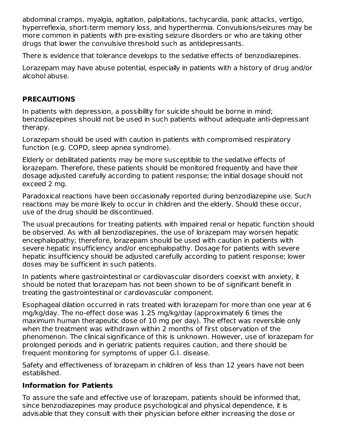abdominal cramps, myalgia, agitation, palpitations, tachycardia, panic attacks, vertigo, hyperreflexia, short-term memory loss, and hyperthermia. Convulsions/seizures may be more common in patients with pre-existing seizure disorders or who are taking other drugs that lower the convulsive threshold such as antidepressants.

There is evidence that tolerance develops to the sedative effects of benzodiazepines.

Lorazepam may have abuse potential, especially in patients with a history of drug and/or alcohol abuse.

## **PRECAUTIONS**

In patients with depression, a possibility for suicide should be borne in mind; benzodiazepines should not be used in such patients without adequate anti-depressant therapy.

Lorazepam should be used with caution in patients with compromised respiratory function (e.g. COPD, sleep apnea syndrome).

Elderly or debilitated patients may be more susceptible to the sedative effects of lorazepam. Therefore, these patients should be monitored frequently and have their dosage adjusted carefully according to patient response; the initial dosage should not exceed 2 mg.

Paradoxical reactions have been occasionally reported during benzodiazepine use. Such reactions may be more likely to occur in children and the elderly. Should these occur, use of the drug should be discontinued.

The usual precautions for treating patients with impaired renal or hepatic function should be observed. As with all benzodiazepines, the use of lorazepam may worsen hepatic encephalopathy; therefore, lorazepam should be used with caution in patients with severe hepatic insufficiency and/or encephalopathy. Dosage for patients with severe hepatic insufficiency should be adjusted carefully according to patient response; lower doses may be sufficient in such patients.

In patients where gastrointestinal or cardiovascular disorders coexist with anxiety, it should be noted that lorazepam has not been shown to be of significant benefit in treating the gastrointestinal or cardiovascular component.

Esophageal dilation occurred in rats treated with lorazepam for more than one year at 6 mg/kg/day. The no-effect dose was 1.25 mg/kg/day (approximately 6 times the maximum human therapeutic dose of 10 mg per day). The effect was reversible only when the treatment was withdrawn within 2 months of first observation of the phenomenon. The clinical significance of this is unknown. However, use of lorazepam for prolonged periods and in geriatric patients requires caution, and there should be frequent monitoring for symptoms of upper G.I. disease.

Safety and effectiveness of lorazepam in children of less than 12 years have not been established.

# **Information for Patients**

To assure the safe and effective use of lorazepam, patients should be informed that, since benzodiazepines may produce psychological and physical dependence, it is advisable that they consult with their physician before either increasing the dose or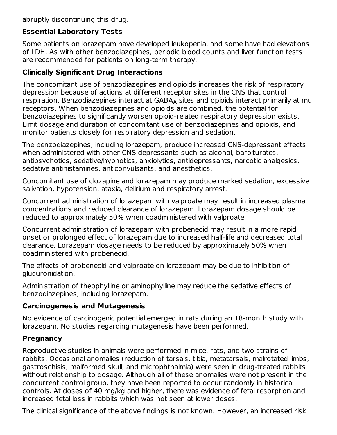abruptly discontinuing this drug.

# **Essential Laboratory Tests**

Some patients on lorazepam have developed leukopenia, and some have had elevations of LDH. As with other benzodiazepines, periodic blood counts and liver function tests are recommended for patients on long-term therapy.

# **Clinically Significant Drug Interactions**

The concomitant use of benzodiazepines and opioids increases the risk of respiratory depression because of actions at different receptor sites in the CNS that control respiration. Benzodiazepines interact at  $\mathsf{GABA}_\mathsf{A}$  sites and opioids interact primarily at mu receptors. When benzodiazepines and opioids are combined, the potential for benzodiazepines to significantly worsen opioid-related respiratory depression exists. Limit dosage and duration of concomitant use of benzodiazepines and opioids, and monitor patients closely for respiratory depression and sedation.

The benzodiazepines, including lorazepam, produce increased CNS-depressant effects when administered with other CNS depressants such as alcohol, barbiturates, antipsychotics, sedative/hypnotics, anxiolytics, antidepressants, narcotic analgesics, sedative antihistamines, anticonvulsants, and anesthetics.

Concomitant use of clozapine and lorazepam may produce marked sedation, excessive salivation, hypotension, ataxia, delirium and respiratory arrest.

Concurrent administration of lorazepam with valproate may result in increased plasma concentrations and reduced clearance of lorazepam. Lorazepam dosage should be reduced to approximately 50% when coadministered with valproate.

Concurrent administration of lorazepam with probenecid may result in a more rapid onset or prolonged effect of lorazepam due to increased half-life and decreased total clearance. Lorazepam dosage needs to be reduced by approximately 50% when coadministered with probenecid.

The effects of probenecid and valproate on lorazepam may be due to inhibition of glucuronidation.

Administration of theophylline or aminophylline may reduce the sedative effects of benzodiazepines, including lorazepam.

# **Carcinogenesis and Mutagenesis**

No evidence of carcinogenic potential emerged in rats during an 18-month study with lorazepam. No studies regarding mutagenesis have been performed.

# **Pregnancy**

Reproductive studies in animals were performed in mice, rats, and two strains of rabbits. Occasional anomalies (reduction of tarsals, tibia, metatarsals, malrotated limbs, gastroschisis, malformed skull, and microphthalmia) were seen in drug-treated rabbits without relationship to dosage. Although all of these anomalies were not present in the concurrent control group, they have been reported to occur randomly in historical controls. At doses of 40 mg/kg and higher, there was evidence of fetal resorption and increased fetal loss in rabbits which was not seen at lower doses.

The clinical significance of the above findings is not known. However, an increased risk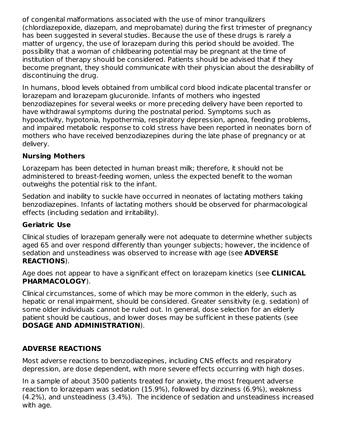of congenital malformations associated with the use of minor tranquilizers (chlordiazepoxide, diazepam, and meprobamate) during the first trimester of pregnancy has been suggested in several studies. Because the use of these drugs is rarely a matter of urgency, the use of lorazepam during this period should be avoided. The possibility that a woman of childbearing potential may be pregnant at the time of institution of therapy should be considered. Patients should be advised that if they become pregnant, they should communicate with their physician about the desirability of discontinuing the drug.

In humans, blood levels obtained from umbilical cord blood indicate placental transfer or lorazepam and lorazepam glucuronide. Infants of mothers who ingested benzodiazepines for several weeks or more preceding delivery have been reported to have withdrawal symptoms during the postnatal period. Symptoms such as hypoactivity, hypotonia, hypothermia, respiratory depression, apnea, feeding problems, and impaired metabolic response to cold stress have been reported in neonates born of mothers who have received benzodiazepines during the late phase of pregnancy or at delivery.

# **Nursing Mothers**

Lorazepam has been detected in human breast milk; therefore, it should not be administered to breast-feeding women, unless the expected benefit to the woman outweighs the potential risk to the infant.

Sedation and inability to suckle have occurred in neonates of lactating mothers taking benzodiazepines. Infants of lactating mothers should be observed for pharmacological effects (including sedation and irritability).

# **Geriatric Use**

Clinical studies of lorazepam generally were not adequate to determine whether subjects aged 65 and over respond differently than younger subjects; however, the incidence of sedation and unsteadiness was observed to increase with age (see **ADVERSE REACTIONS**).

Age does not appear to have a significant effect on lorazepam kinetics (see **CLINICAL PHARMACOLOGY**).

Clinical circumstances, some of which may be more common in the elderly, such as hepatic or renal impairment, should be considered. Greater sensitivity (e.g. sedation) of some older individuals cannot be ruled out. In general, dose selection for an elderly patient should be cautious, and lower doses may be sufficient in these patients (see **DOSAGE AND ADMINISTRATION**).

# **ADVERSE REACTIONS**

Most adverse reactions to benzodiazepines, including CNS effects and respiratory depression, are dose dependent, with more severe effects occurring with high doses.

In a sample of about 3500 patients treated for anxiety, the most frequent adverse reaction to lorazepam was sedation (15.9%), followed by dizziness (6.9%), weakness (4.2%), and unsteadiness (3.4%). The incidence of sedation and unsteadiness increased with age.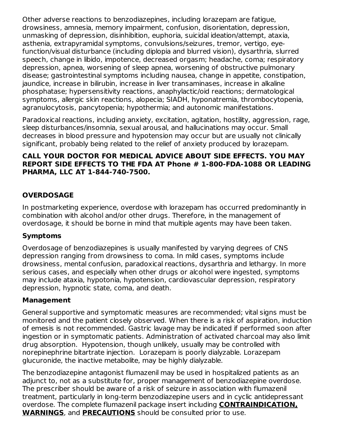Other adverse reactions to benzodiazepines, including lorazepam are fatigue, drowsiness, amnesia, memory impairment, confusion, disorientation, depression, unmasking of depression, disinhibition, euphoria, suicidal ideation/attempt, ataxia, asthenia, extrapyramidal symptoms, convulsions/seizures, tremor, vertigo, eyefunction/visual disturbance (including diplopia and blurred vision), dysarthria, slurred speech, change in libido, impotence, decreased orgasm; headache, coma; respiratory depression, apnea, worsening of sleep apnea, worsening of obstructive pulmonary disease; gastrointestinal symptoms including nausea, change in appetite, constipation, jaundice, increase in bilirubin, increase in liver transaminases, increase in alkaline phosphatase; hypersensitivity reactions, anaphylactic/oid reactions; dermatological symptoms, allergic skin reactions, alopecia; SIADH, hyponatremia, thrombocytopenia, agranulocytosis, pancytopenia; hypothermia; and autonomic manifestations.

Paradoxical reactions, including anxiety, excitation, agitation, hostility, aggression, rage, sleep disturbances/insomnia, sexual arousal, and hallucinations may occur. Small decreases in blood pressure and hypotension may occur but are usually not clinically significant, probably being related to the relief of anxiety produced by lorazepam.

#### **CALL YOUR DOCTOR FOR MEDICAL ADVICE ABOUT SIDE EFFECTS. YOU MAY REPORT SIDE EFFECTS TO THE FDA AT Phone # 1-800-FDA-1088 OR LEADING PHARMA, LLC AT 1-844-740-7500.**

# **OVERDOSAGE**

In postmarketing experience, overdose with lorazepam has occurred predominantly in combination with alcohol and/or other drugs. Therefore, in the management of overdosage, it should be borne in mind that multiple agents may have been taken.

# **Symptoms**

Overdosage of benzodiazepines is usually manifested by varying degrees of CNS depression ranging from drowsiness to coma. In mild cases, symptoms include drowsiness, mental confusion, paradoxical reactions, dysarthria and lethargy. In more serious cases, and especially when other drugs or alcohol were ingested, symptoms may include ataxia, hypotonia, hypotension, cardiovascular depression, respiratory depression, hypnotic state, coma, and death.

#### **Management**

General supportive and symptomatic measures are recommended; vital signs must be monitored and the patient closely observed. When there is a risk of aspiration, induction of emesis is not recommended. Gastric lavage may be indicated if performed soon after ingestion or in symptomatic patients. Administration of activated charcoal may also limit drug absorption. Hypotension, though unlikely, usually may be controlled with norepinephrine bitartrate injection. Lorazepam is poorly dialyzable. Lorazepam glucuronide, the inactive metabolite, may be highly dialyzable.

The benzodiazepine antagonist flumazenil may be used in hospitalized patients as an adjunct to, not as a substitute for, proper management of benzodiazepine overdose. The prescriber should be aware of a risk of seizure in association with flumazenil treatment, particularly in long-term benzodiazepine users and in cyclic antidepressant overdose. The complete flumazenil package insert including **CONTRAINDICATION, WARNINGS**, and **PRECAUTIONS** should be consulted prior to use.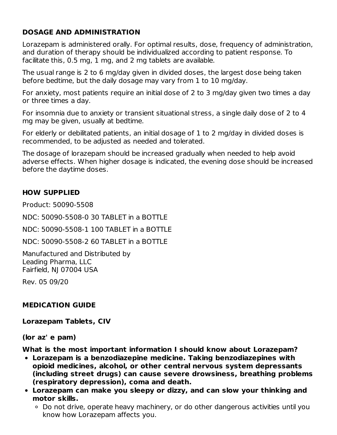## **DOSAGE AND ADMINISTRATION**

Lorazepam is administered orally. For optimal results, dose, frequency of administration, and duration of therapy should be individualized according to patient response. To facilitate this, 0.5 mg, 1 mg, and 2 mg tablets are available.

The usual range is 2 to 6 mg/day given in divided doses, the largest dose being taken before bedtime, but the daily dosage may vary from 1 to 10 mg/day.

For anxiety, most patients require an initial dose of 2 to 3 mg/day given two times a day or three times a day.

For insomnia due to anxiety or transient situational stress, a single daily dose of 2 to 4 mg may be given, usually at bedtime.

For elderly or debilitated patients, an initial dosage of 1 to 2 mg/day in divided doses is recommended, to be adjusted as needed and tolerated.

The dosage of lorazepam should be increased gradually when needed to help avoid adverse effects. When higher dosage is indicated, the evening dose should be increased before the daytime doses.

## **HOW SUPPLIED**

Product: 50090-5508

NDC: 50090-5508-0 30 TABLET in a BOTTLE

NDC: 50090-5508-1 100 TABLET in a BOTTLE

NDC: 50090-5508-2 60 TABLET in a BOTTLE

Manufactured and Distributed by Leading Pharma, LLC Fairfield, NJ 07004 USA

Rev. 05 09/20

#### **MEDICATION GUIDE**

**Lorazepam Tablets, CIV**

**(lor az' e pam)**

**What is the most important information I should know about Lorazepam?**

- **Lorazepam is a benzodiazepine medicine. Taking benzodiazepines with opioid medicines, alcohol, or other central nervous system depressants (including street drugs) can cause severe drowsiness, breathing problems (respiratory depression), coma and death.**
- **Lorazepam can make you sleepy or dizzy, and can slow your thinking and motor skills.**
	- Do not drive, operate heavy machinery, or do other dangerous activities until you know how Lorazepam affects you.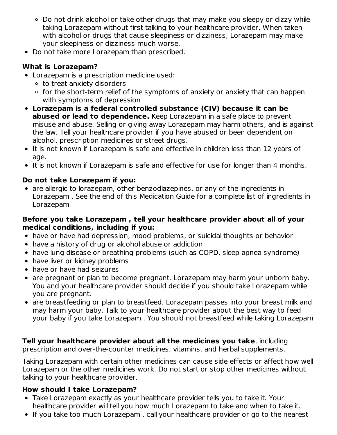- Do not drink alcohol or take other drugs that may make you sleepy or dizzy while taking Lorazepam without first talking to your healthcare provider. When taken with alcohol or drugs that cause sleepiness or dizziness, Lorazepam may make your sleepiness or dizziness much worse.
- Do not take more Lorazepam than prescribed.

# **What is Lorazepam?**

- Lorazepam is a prescription medicine used:
	- to treat anxiety disorders
	- o for the short-term relief of the symptoms of anxiety or anxiety that can happen with symptoms of depression
- **Lorazepam is a federal controlled substance (CIV) because it can be abused or lead to dependence.** Keep Lorazepam in a safe place to prevent misuse and abuse. Selling or giving away Lorazepam may harm others, and is against the law. Tell your healthcare provider if you have abused or been dependent on alcohol, prescription medicines or street drugs.
- It is not known if Lorazepam is safe and effective in children less than 12 years of age.
- It is not known if Lorazepam is safe and effective for use for longer than 4 months.

# **Do not take Lorazepam if you:**

• are allergic to lorazepam, other benzodiazepines, or any of the ingredients in Lorazepam . See the end of this Medication Guide for a complete list of ingredients in Lorazepam

# **Before you take Lorazepam , tell your healthcare provider about all of your medical conditions, including if you:**

- have or have had depression, mood problems, or suicidal thoughts or behavior
- have a history of drug or alcohol abuse or addiction
- have lung disease or breathing problems (such as COPD, sleep apnea syndrome)
- have liver or kidney problems
- have or have had seizures
- are pregnant or plan to become pregnant. Lorazepam may harm your unborn baby. You and your healthcare provider should decide if you should take Lorazepam while you are pregnant.
- are breastfeeding or plan to breastfeed. Lorazepam passes into your breast milk and may harm your baby. Talk to your healthcare provider about the best way to feed your baby if you take Lorazepam . You should not breastfeed while taking Lorazepam

#### **Tell your healthcare provider about all the medicines you take**, including prescription and over-the-counter medicines, vitamins, and herbal supplements.

Taking Lorazepam with certain other medicines can cause side effects or affect how well Lorazepam or the other medicines work. Do not start or stop other medicines without talking to your healthcare provider.

# **How should I take Lorazepam?**

- Take Lorazepam exactly as your healthcare provider tells you to take it. Your healthcare provider will tell you how much Lorazepam to take and when to take it.
- If you take too much Lorazepam, call your healthcare provider or go to the nearest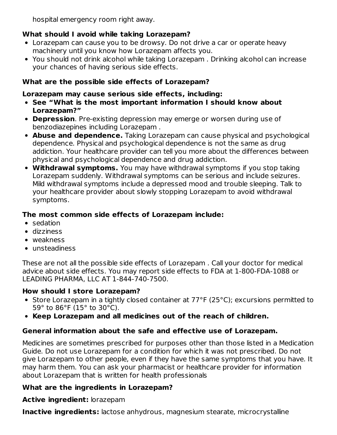hospital emergency room right away.

# **What should I avoid while taking Lorazepam?**

- Lorazepam can cause you to be drowsy. Do not drive a car or operate heavy machinery until you know how Lorazepam affects you.
- You should not drink alcohol while taking Lorazepam . Drinking alcohol can increase your chances of having serious side effects.

# **What are the possible side effects of Lorazepam?**

# **Lorazepam may cause serious side effects, including:**

- **See "What is the most important information I should know about Lorazepam?"**
- **Depression**. Pre-existing depression may emerge or worsen during use of benzodiazepines including Lorazepam .
- **Abuse and dependence.** Taking Lorazepam can cause physical and psychological dependence. Physical and psychological dependence is not the same as drug addiction. Your healthcare provider can tell you more about the differences between physical and psychological dependence and drug addiction.
- **Withdrawal symptoms.** You may have withdrawal symptoms if you stop taking Lorazepam suddenly. Withdrawal symptoms can be serious and include seizures. Mild withdrawal symptoms include a depressed mood and trouble sleeping. Talk to your healthcare provider about slowly stopping Lorazepam to avoid withdrawal symptoms.

# **The most common side effects of Lorazepam include:**

- sedation
- dizziness
- weakness
- unsteadiness

These are not all the possible side effects of Lorazepam . Call your doctor for medical advice about side effects. You may report side effects to FDA at 1-800-FDA-1088 or LEADING PHARMA, LLC AT 1-844-740-7500.

# **How should I store Lorazepam?**

- Store Lorazepam in a tightly closed container at 77°F (25°C); excursions permitted to 59° to 86°F (15° to 30°C).
- **Keep Lorazepam and all medicines out of the reach of children.**

# **General information about the safe and effective use of Lorazepam.**

Medicines are sometimes prescribed for purposes other than those listed in a Medication Guide. Do not use Lorazepam for a condition for which it was not prescribed. Do not give Lorazepam to other people, even if they have the same symptoms that you have. It may harm them. You can ask your pharmacist or healthcare provider for information about Lorazepam that is written for health professionals

# **What are the ingredients in Lorazepam?**

**Active ingredient:** lorazepam

**Inactive ingredients:** lactose anhydrous, magnesium stearate, microcrystalline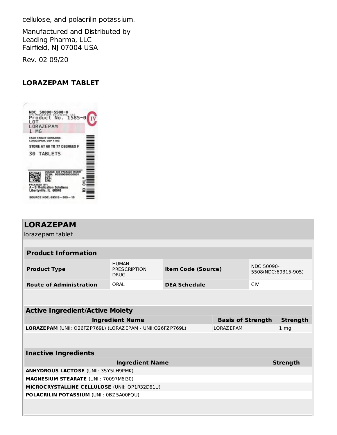cellulose, and polacrilin potassium.

Manufactured and Distributed by Leading Pharma, LLC Fairfield, NJ 07004 USA

Rev. 02 09/20

#### **LORAZEPAM TABLET**



| <b>LORAZEPAM</b>                                                         |                                                    |                           |  |                 |                     |  |  |
|--------------------------------------------------------------------------|----------------------------------------------------|---------------------------|--|-----------------|---------------------|--|--|
| lorazepam tablet                                                         |                                                    |                           |  |                 |                     |  |  |
|                                                                          |                                                    |                           |  |                 |                     |  |  |
| <b>Product Information</b>                                               |                                                    |                           |  |                 |                     |  |  |
| <b>Product Type</b>                                                      | <b>HUMAN</b><br><b>PRESCRIPTION</b><br><b>DRUG</b> | <b>Item Code (Source)</b> |  | NDC:50090-      | 5508(NDC:69315-905) |  |  |
| <b>Route of Administration</b>                                           | ORAL                                               | <b>DEA Schedule</b>       |  | <b>CIV</b>      |                     |  |  |
|                                                                          |                                                    |                           |  |                 |                     |  |  |
| <b>Active Ingredient/Active Moiety</b>                                   |                                                    |                           |  |                 |                     |  |  |
| <b>Ingredient Name</b><br><b>Basis of Strength</b>                       |                                                    |                           |  |                 | <b>Strength</b>     |  |  |
| LORAZEPAM (UNII: O26FZP769L) (LORAZEPAM - UNII:O26FZP769L)<br>LORAZ EPAM |                                                    |                           |  | 1 <sub>mg</sub> |                     |  |  |
|                                                                          |                                                    |                           |  |                 |                     |  |  |
| <b>Inactive Ingredients</b>                                              |                                                    |                           |  |                 |                     |  |  |
| <b>Ingredient Name</b>                                                   |                                                    |                           |  |                 | <b>Strength</b>     |  |  |
| <b>ANHYDROUS LACTOSE (UNII: 3SY5LH9PMK)</b>                              |                                                    |                           |  |                 |                     |  |  |
| <b>MAGNESIUM STEARATE (UNII: 70097M6I30)</b>                             |                                                    |                           |  |                 |                     |  |  |
| MICROCRYSTALLINE CELLULOSE (UNII: OP1R32D61U)                            |                                                    |                           |  |                 |                     |  |  |
| POLACRILIN POTASSIUM (UNII: 0BZ5A00FQU)                                  |                                                    |                           |  |                 |                     |  |  |
|                                                                          |                                                    |                           |  |                 |                     |  |  |
|                                                                          |                                                    |                           |  |                 |                     |  |  |